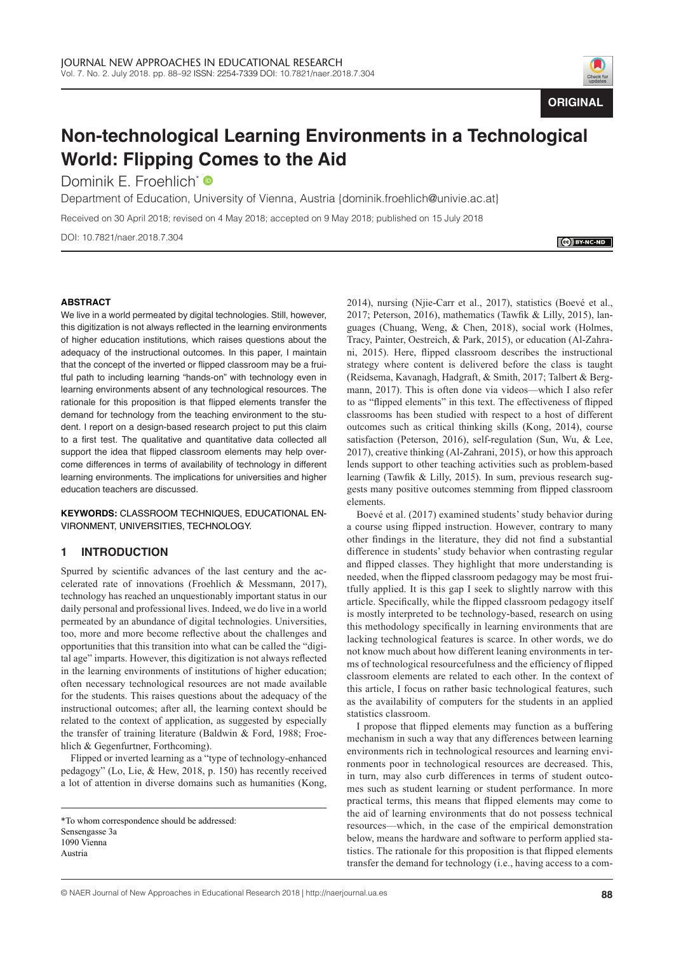

# **Non-technological Learning Environments in a Technological World: Flipping Comes to the Aid**

Dominik E. Froehlich[\\*](http://orcid.org/0000-0002-9991-2784) <sup>O</sup>

Department of Education, University of Vienna, Austria [{dominik.froehlich@univie.ac.at}](mailto:{dominik.froehlich@univie.ac.at)

Received on 30 April 2018; revised on 4 May 2018; accepted on 9 May 2018; published on 15 July 2018

DOI: 10.7821/naer.2018.7.304

 $\mathbb{C}$  BY-NC-ND

## **ABSTRACT**

We live in a world permeated by digital technologies. Still, however, this digitization is not always reflected in the learning environments of higher education institutions, which raises questions about the adequacy of the instructional outcomes. In this paper, I maintain that the concept of the inverted or flipped classroom may be a fruitful path to including learning "hands-on" with technology even in learning environments absent of any technological resources. The rationale for this proposition is that flipped elements transfer the demand for technology from the teaching environment to the student. I report on a design-based research project to put this claim to a first test. The qualitative and quantitative data collected all support the idea that flipped classroom elements may help overcome differences in terms of availability of technology in different learning environments. The implications for universities and higher education teachers are discussed.

**KEYWORDS:** CLASSROOM TECHNIQUES, EDUCATIONAL EN-VIRONMENT, UNIVERSITIES, TECHNOLOGY

# **1 INTRODUCTION**

Spurred by scientific advances of the last century and the accelerated rate of innovations (Froehlich & Messmann, 2017), technology has reached an unquestionably important status in our daily personal and professional lives. Indeed, we do live in a world permeated by an abundance of digital technologies. Universities, too, more and more become reflective about the challenges and opportunities that this transition into what can be called the "digital age" imparts. However, this digitization is not always reflected in the learning environments of institutions of higher education; often necessary technological resources are not made available for the students. This raises questions about the adequacy of the instructional outcomes; after all, the learning context should be related to the context of application, as suggested by especially the transfer of training literature (Baldwin & Ford, 1988; Froehlich & Gegenfurtner, Forthcoming).

Flipped or inverted learning as a "type of technology-enhanced pedagogy" (Lo, Lie, & Hew, 2018, p. 150) has recently received a lot of attention in diverse domains such as humanities (Kong,

2014), nursing (Njie-Carr et al., 2017), statistics (Boevé et al., 2017; Peterson, 2016), mathematics (Tawfik & Lilly, 2015), languages (Chuang, Weng, & Chen, 2018), social work (Holmes, Tracy, Painter, Oestreich, & Park, 2015), or education (Al-Zahrani, 2015). Here, flipped classroom describes the instructional strategy where content is delivered before the class is taught (Reidsema, Kavanagh, Hadgraft, & Smith, 2017; Talbert & Bergmann, 2017). This is often done via videos—which I also refer to as "flipped elements" in this text. The effectiveness of flipped classrooms has been studied with respect to a host of different outcomes such as critical thinking skills (Kong, 2014), course satisfaction (Peterson, 2016), self-regulation (Sun, Wu, & Lee, 2017), creative thinking (Al-Zahrani, 2015), or how this approach lends support to other teaching activities such as problem-based learning (Tawfik & Lilly, 2015). In sum, previous research suggests many positive outcomes stemming from flipped classroom elements.

Boevé et al. (2017) examined students' study behavior during a course using flipped instruction. However, contrary to many other findings in the literature, they did not find a substantial difference in students' study behavior when contrasting regular and flipped classes. They highlight that more understanding is needed, when the flipped classroom pedagogy may be most fruitfully applied. It is this gap I seek to slightly narrow with this article. Specifically, while the flipped classroom pedagogy itself is mostly interpreted to be technology-based, research on using this methodology specifically in learning environments that are lacking technological features is scarce. In other words, we do not know much about how different leaning environments in terms of technological resourcefulness and the efficiency of flipped classroom elements are related to each other. In the context of this article, I focus on rather basic technological features, such as the availability of computers for the students in an applied statistics classroom.

I propose that flipped elements may function as a buffering mechanism in such a way that any differences between learning environments rich in technological resources and learning environments poor in technological resources are decreased. This, in turn, may also curb differences in terms of student outcomes such as student learning or student performance. In more practical terms, this means that flipped elements may come to the aid of learning environments that do not possess technical resources—which, in the case of the empirical demonstration below, means the hardware and software to perform applied statistics. The rationale for this proposition is that flipped elements transfer the demand for technology (i.e., having access to a com-

<sup>\*</sup>To whom correspondence should be addressed: Sensengasse 3a 1090 Vienna Austria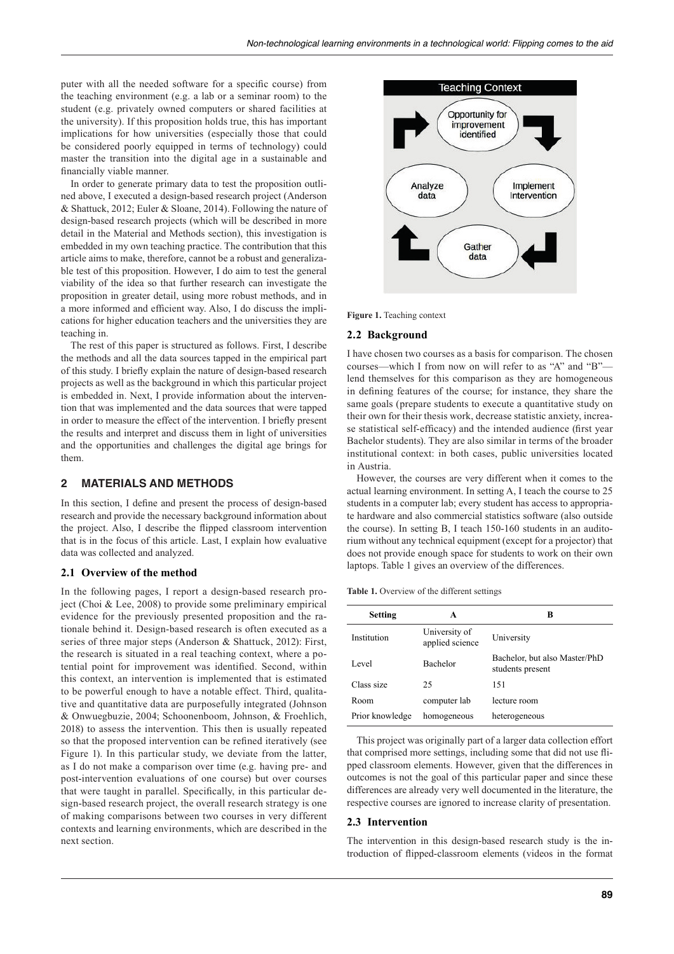puter with all the needed software for a specific course) from the teaching environment (e.g. a lab or a seminar room) to the student (e.g. privately owned computers or shared facilities at the university). If this proposition holds true, this has important implications for how universities (especially those that could be considered poorly equipped in terms of technology) could master the transition into the digital age in a sustainable and financially viable manner.

In order to generate primary data to test the proposition outlined above, I executed a design-based research project (Anderson & Shattuck, 2012; Euler & Sloane, 2014). Following the nature of design-based research projects (which will be described in more detail in the Material and Methods section), this investigation is embedded in my own teaching practice. The contribution that this article aims to make, therefore, cannot be a robust and generalizable test of this proposition. However, I do aim to test the general viability of the idea so that further research can investigate the proposition in greater detail, using more robust methods, and in a more informed and efficient way. Also, I do discuss the implications for higher education teachers and the universities they are teaching in.

The rest of this paper is structured as follows. First, I describe the methods and all the data sources tapped in the empirical part of this study. I briefly explain the nature of design-based research projects as well as the background in which this particular project is embedded in. Next, I provide information about the intervention that was implemented and the data sources that were tapped in order to measure the effect of the intervention. I briefly present the results and interpret and discuss them in light of universities and the opportunities and challenges the digital age brings for them.

# **2 MATERIALS AND METHODS**

In this section, I define and present the process of design-based research and provide the necessary background information about the project. Also, I describe the flipped classroom intervention that is in the focus of this article. Last, I explain how evaluative data was collected and analyzed.

## **2.1 Overview of the method**

In the following pages, I report a design-based research project (Choi & Lee, 2008) to provide some preliminary empirical evidence for the previously presented proposition and the rationale behind it. Design-based research is often executed as a series of three major steps (Anderson & Shattuck, 2012): First, the research is situated in a real teaching context, where a potential point for improvement was identified. Second, within this context, an intervention is implemented that is estimated to be powerful enough to have a notable effect. Third, qualitative and quantitative data are purposefully integrated (Johnson & Onwuegbuzie, 2004; Schoonenboom, Johnson, & Froehlich, 2018) to assess the intervention. This then is usually repeated so that the proposed intervention can be refined iteratively (see Figure 1). In this particular study, we deviate from the latter, as I do not make a comparison over time (e.g. having pre- and post-intervention evaluations of one course) but over courses that were taught in parallel. Specifically, in this particular design-based research project, the overall research strategy is one of making comparisons between two courses in very different contexts and learning environments, which are described in the next section.



**Figure 1.** Teaching context

## **2.2 Background**

I have chosen two courses as a basis for comparison. The chosen courses—which I from now on will refer to as "A" and "B"lend themselves for this comparison as they are homogeneous in defining features of the course; for instance, they share the same goals (prepare students to execute a quantitative study on their own for their thesis work, decrease statistic anxiety, increase statistical self-efficacy) and the intended audience (first year Bachelor students). They are also similar in terms of the broader institutional context: in both cases, public universities located in Austria.

However, the courses are very different when it comes to the actual learning environment. In setting A, I teach the course to 25 students in a computer lab; every student has access to appropriate hardware and also commercial statistics software (also outside the course). In setting B, I teach 150-160 students in an auditorium without any technical equipment (except for a projector) that does not provide enough space for students to work on their own laptops. Table 1 gives an overview of the differences.

**Table 1.** Overview of the different settings

| Setting         | A                                | в                                                 |  |
|-----------------|----------------------------------|---------------------------------------------------|--|
| Institution     | University of<br>applied science | University                                        |  |
| Level           | Bachelor                         | Bachelor, but also Master/PhD<br>students present |  |
| Class size      | 25                               | 151                                               |  |
| Room            | computer lab                     | lecture room                                      |  |
| Prior knowledge | homogeneous                      | heterogeneous                                     |  |

This project was originally part of a larger data collection effort that comprised more settings, including some that did not use flipped classroom elements. However, given that the differences in outcomes is not the goal of this particular paper and since these differences are already very well documented in the literature, the respective courses are ignored to increase clarity of presentation.

## **2.3 Intervention**

The intervention in this design-based research study is the introduction of flipped-classroom elements (videos in the format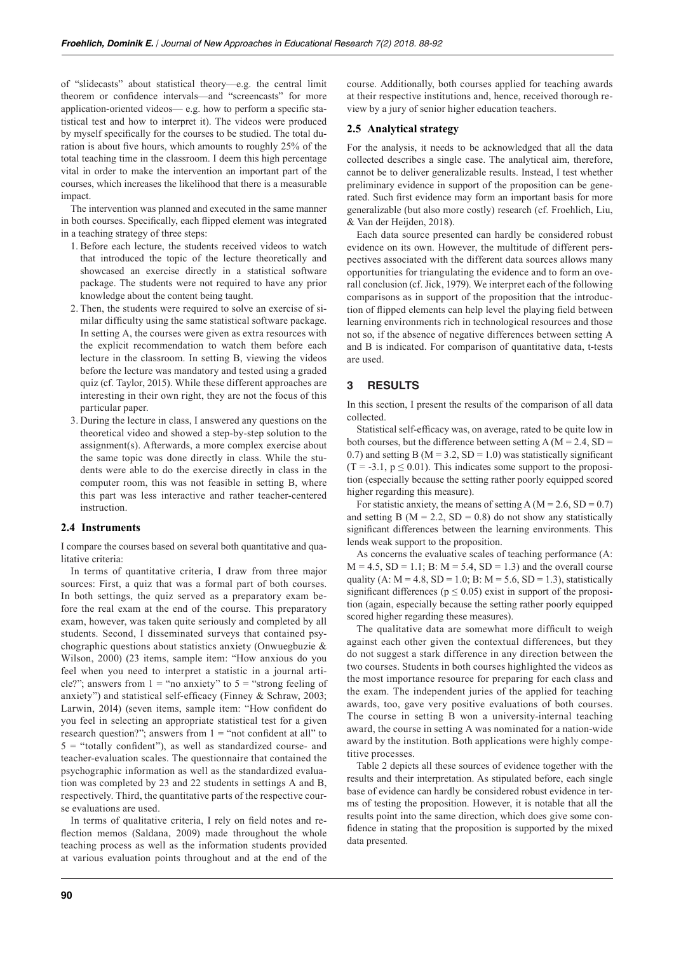of "slidecasts" about statistical theory—e.g. the central limit theorem or confidence intervals—and "screencasts" for more application-oriented videos— e.g. how to perform a specific statistical test and how to interpret it). The videos were produced by myself specifically for the courses to be studied. The total duration is about five hours, which amounts to roughly 25% of the total teaching time in the classroom. I deem this high percentage vital in order to make the intervention an important part of the courses, which increases the likelihood that there is a measurable impact.

The intervention was planned and executed in the same manner in both courses. Specifically, each flipped element was integrated in a teaching strategy of three steps:

- 1. Before each lecture, the students received videos to watch that introduced the topic of the lecture theoretically and showcased an exercise directly in a statistical software package. The students were not required to have any prior knowledge about the content being taught.
- 2. Then, the students were required to solve an exercise of similar difficulty using the same statistical software package. In setting A, the courses were given as extra resources with the explicit recommendation to watch them before each lecture in the classroom. In setting B, viewing the videos before the lecture was mandatory and tested using a graded quiz (cf. Taylor, 2015). While these different approaches are interesting in their own right, they are not the focus of this particular paper.
- 3. During the lecture in class, I answered any questions on the theoretical video and showed a step-by-step solution to the assignment(s). Afterwards, a more complex exercise about the same topic was done directly in class. While the students were able to do the exercise directly in class in the computer room, this was not feasible in setting B, where this part was less interactive and rather teacher-centered instruction.

## **2.4 Instruments**

I compare the courses based on several both quantitative and qualitative criteria:

In terms of quantitative criteria, I draw from three major sources: First, a quiz that was a formal part of both courses. In both settings, the quiz served as a preparatory exam before the real exam at the end of the course. This preparatory exam, however, was taken quite seriously and completed by all students. Second, I disseminated surveys that contained psychographic questions about statistics anxiety (Onwuegbuzie & Wilson, 2000) (23 items, sample item: "How anxious do you feel when you need to interpret a statistic in a journal article?"; answers from  $1 =$  "no anxiety" to  $5 =$  "strong feeling of anxiety") and statistical self-efficacy (Finney & Schraw, 2003; Larwin, 2014) (seven items, sample item: "How confident do you feel in selecting an appropriate statistical test for a given research question?"; answers from  $1 =$  "not confident at all" to  $5$  = "totally confident"), as well as standardized course- and teacher-evaluation scales. The questionnaire that contained the psychographic information as well as the standardized evaluation was completed by 23 and 22 students in settings A and B, respectively. Third, the quantitative parts of the respective course evaluations are used.

In terms of qualitative criteria, I rely on field notes and reflection memos (Saldana, 2009) made throughout the whole teaching process as well as the information students provided at various evaluation points throughout and at the end of the

course. Additionally, both courses applied for teaching awards at their respective institutions and, hence, received thorough review by a jury of senior higher education teachers.

## **2.5 Analytical strategy**

For the analysis, it needs to be acknowledged that all the data collected describes a single case. The analytical aim, therefore, cannot be to deliver generalizable results. Instead, I test whether preliminary evidence in support of the proposition can be generated. Such first evidence may form an important basis for more generalizable (but also more costly) research (cf. Froehlich, Liu, & Van der Heijden, 2018).

Each data source presented can hardly be considered robust evidence on its own. However, the multitude of different perspectives associated with the different data sources allows many opportunities for triangulating the evidence and to form an overall conclusion (cf. Jick, 1979). We interpret each of the following comparisons as in support of the proposition that the introduction of flipped elements can help level the playing field between learning environments rich in technological resources and those not so, if the absence of negative differences between setting A and B is indicated. For comparison of quantitative data, t-tests are used.

# **3 RESULTS**

In this section, I present the results of the comparison of all data collected.

Statistical self-efficacy was, on average, rated to be quite low in both courses, but the difference between setting  $A (M = 2.4, SD =$ 0.7) and setting B ( $M = 3.2$ ,  $SD = 1.0$ ) was statistically significant  $(T = -3.1, p \le 0.01)$ . This indicates some support to the proposition (especially because the setting rather poorly equipped scored higher regarding this measure).

For statistic anxiety, the means of setting A ( $M = 2.6$ ,  $SD = 0.7$ ) and setting B ( $M = 2.2$ ,  $SD = 0.8$ ) do not show any statistically significant differences between the learning environments. This lends weak support to the proposition.

As concerns the evaluative scales of teaching performance (A:  $M = 4.5$ ,  $SD = 1.1$ ;  $B$ :  $M = 5.4$ ,  $SD = 1.3$ ) and the overall course quality (A:  $M = 4.8$ ,  $SD = 1.0$ ; B:  $M = 5.6$ ,  $SD = 1.3$ ), statistically significant differences ( $p \le 0.05$ ) exist in support of the proposition (again, especially because the setting rather poorly equipped scored higher regarding these measures).

The qualitative data are somewhat more difficult to weigh against each other given the contextual differences, but they do not suggest a stark difference in any direction between the two courses. Students in both courses highlighted the videos as the most importance resource for preparing for each class and the exam. The independent juries of the applied for teaching awards, too, gave very positive evaluations of both courses. The course in setting B won a university-internal teaching award, the course in setting A was nominated for a nation-wide award by the institution. Both applications were highly competitive processes.

Table 2 depicts all these sources of evidence together with the results and their interpretation. As stipulated before, each single base of evidence can hardly be considered robust evidence in terms of testing the proposition. However, it is notable that all the results point into the same direction, which does give some confidence in stating that the proposition is supported by the mixed data presented.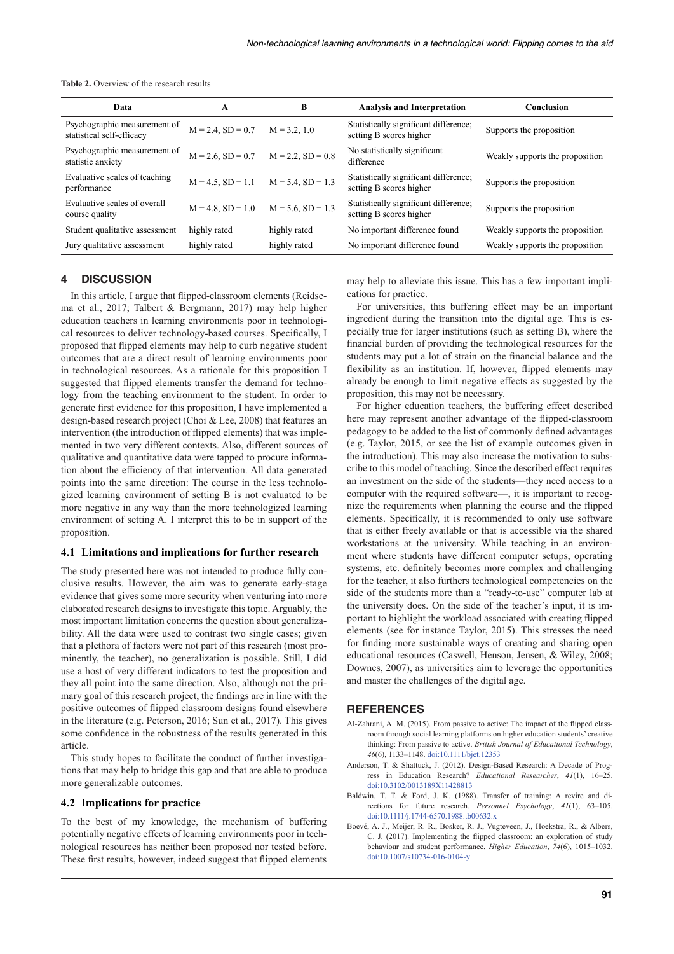| <b>Table 2.</b> Overview of the research results |
|--------------------------------------------------|
|--------------------------------------------------|

| Data                                                      | A                      | B                      | <b>Analysis and Interpretation</b>                               | Conclusion                      |
|-----------------------------------------------------------|------------------------|------------------------|------------------------------------------------------------------|---------------------------------|
| Psychographic measurement of<br>statistical self-efficacy | $M = 2.4$ , $SD = 0.7$ | $M = 3.2, 1.0$         | Statistically significant difference;<br>setting B scores higher | Supports the proposition        |
| Psychographic measurement of<br>statistic anxiety         | $M = 2.6$ , $SD = 0.7$ | $M = 2.2$ , $SD = 0.8$ | No statistically significant<br>difference                       | Weakly supports the proposition |
| Evaluative scales of teaching<br>performance              | $M = 4.5$ , $SD = 1.1$ | $M = 5.4$ , $SD = 1.3$ | Statistically significant difference;<br>setting B scores higher | Supports the proposition        |
| Evaluative scales of overall<br>course quality            | $M = 4.8$ , $SD = 1.0$ | $M = 5.6$ , $SD = 1.3$ | Statistically significant difference;<br>setting B scores higher | Supports the proposition        |
| Student qualitative assessment                            | highly rated           | highly rated           | No important difference found                                    | Weakly supports the proposition |
| Jury qualitative assessment                               | highly rated           | highly rated           | No important difference found                                    | Weakly supports the proposition |
|                                                           |                        |                        |                                                                  |                                 |

# **4 DISCUSSION**

In this article, I argue that flipped-classroom elements (Reidsema et al., 2017; Talbert & Bergmann, 2017) may help higher education teachers in learning environments poor in technological resources to deliver technology-based courses. Specifically, I proposed that flipped elements may help to curb negative student outcomes that are a direct result of learning environments poor in technological resources. As a rationale for this proposition I suggested that flipped elements transfer the demand for technology from the teaching environment to the student. In order to generate first evidence for this proposition, I have implemented a design-based research project (Choi & Lee, 2008) that features an intervention (the introduction of flipped elements) that was implemented in two very different contexts. Also, different sources of qualitative and quantitative data were tapped to procure information about the efficiency of that intervention. All data generated points into the same direction: The course in the less technologized learning environment of setting B is not evaluated to be more negative in any way than the more technologized learning environment of setting A. I interpret this to be in support of the proposition.

#### **4.1 Limitations and implications for further research**

The study presented here was not intended to produce fully conclusive results. However, the aim was to generate early-stage evidence that gives some more security when venturing into more elaborated research designs to investigate this topic. Arguably, the most important limitation concerns the question about generalizability. All the data were used to contrast two single cases; given that a plethora of factors were not part of this research (most prominently, the teacher), no generalization is possible. Still, I did use a host of very different indicators to test the proposition and they all point into the same direction. Also, although not the primary goal of this research project, the findings are in line with the positive outcomes of flipped classroom designs found elsewhere in the literature (e.g. Peterson, 2016; Sun et al., 2017). This gives some confidence in the robustness of the results generated in this article.

This study hopes to facilitate the conduct of further investigations that may help to bridge this gap and that are able to produce more generalizable outcomes.

#### **4.2 Implications for practice**

To the best of my knowledge, the mechanism of buffering potentially negative effects of learning environments poor in technological resources has neither been proposed nor tested before. These first results, however, indeed suggest that flipped elements may help to alleviate this issue. This has a few important implications for practice.

For universities, this buffering effect may be an important ingredient during the transition into the digital age. This is especially true for larger institutions (such as setting B), where the financial burden of providing the technological resources for the students may put a lot of strain on the financial balance and the flexibility as an institution. If, however, flipped elements may already be enough to limit negative effects as suggested by the proposition, this may not be necessary.

For higher education teachers, the buffering effect described here may represent another advantage of the flipped-classroom pedagogy to be added to the list of commonly defined advantages (e.g. Taylor, 2015, or see the list of example outcomes given in the introduction). This may also increase the motivation to subscribe to this model of teaching. Since the described effect requires an investment on the side of the students—they need access to a computer with the required software—, it is important to recognize the requirements when planning the course and the flipped elements. Specifically, it is recommended to only use software that is either freely available or that is accessible via the shared workstations at the university. While teaching in an environment where students have different computer setups, operating systems, etc. definitely becomes more complex and challenging for the teacher, it also furthers technological competencies on the side of the students more than a "ready-to-use" computer lab at the university does. On the side of the teacher's input, it is important to highlight the workload associated with creating flipped elements (see for instance Taylor, 2015). This stresses the need for finding more sustainable ways of creating and sharing open educational resources (Caswell, Henson, Jensen, & Wiley, 2008; Downes, 2007), as universities aim to leverage the opportunities and master the challenges of the digital age.

#### **REFERENCES**

- Al-Zahrani, A. M. (2015). From passive to active: The impact of the flipped classroom through social learning platforms on higher education students' creative thinking: From passive to active. *British Journal of Educational Technology*, *46*(6), 1133–1148. doi:[10.1111/bjet.12353](http://doi.org/10.1111/bjet.12353)
- Anderson, T. & Shattuck, J. (2012). Design-Based Research: A Decade of Progress in Education Research? *Educational Researcher*, *41*(1), 16–25. doi[:10.3102/0013189X11428813](https://doi.org/10.3102/0013189X11428813)
- Baldwin, T. T. & Ford, J. K. (1988). Transfer of training: A revire and directions for future research. *Personnel Psychology*, *41*(1), 63–105. doi[:10.1111/j.1744-6570.1988.tb00632.x](https://doi.org/10.1111/j.1744-6570.1988.tb00632.x)
- Boevé, A. J., Meijer, R. R., Bosker, R. J., Vugteveen, J., Hoekstra, R., & Albers, C. J. (2017). Implementing the flipped classroom: an exploration of study behaviour and student performance. *Higher Education*, *74*(6), 1015–1032. doi[:10.1007/s10734-016-0104-y](https://doi.org/10.1007/s10734-016-0104-y)